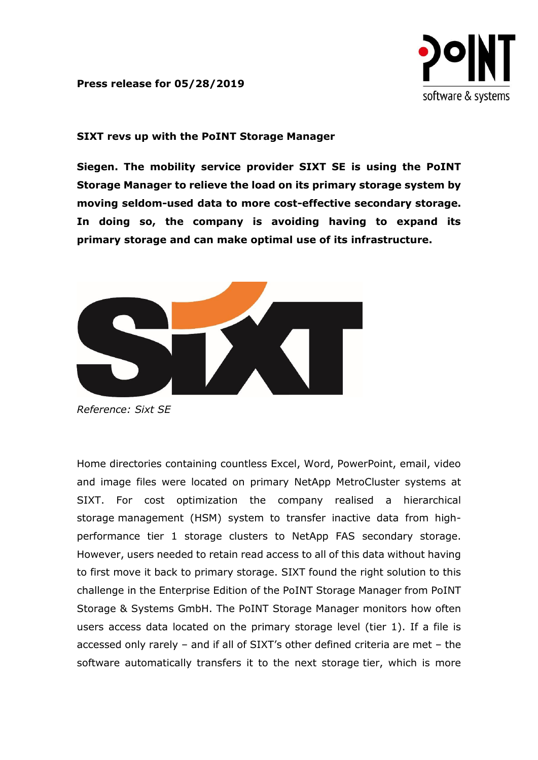## **Press release for 05/28/2019**



## **SIXT revs up with the PoINT Storage Manager**

**Siegen. The mobility service provider SIXT SE is using the PoINT Storage Manager to relieve the load on its primary storage system by moving seldom-used data to more cost-effective secondary storage. In doing so, the company is avoiding having to expand its primary storage and can make optimal use of its infrastructure.**



*Reference: Sixt SE*

Home directories containing countless Excel, Word, PowerPoint, email, video and image files were located on primary NetApp MetroCluster systems at SIXT. For cost optimization the company realised a hierarchical storage management (HSM) system to transfer inactive data from highperformance tier 1 storage clusters to NetApp FAS secondary storage. However, users needed to retain read access to all of this data without having to first move it back to primary storage. SIXT found the right solution to this challenge in the Enterprise Edition of the PoINT Storage Manager from PoINT Storage & Systems GmbH. The PoINT Storage Manager monitors how often users access data located on the primary storage level (tier 1). If a file is accessed only rarely – and if all of SIXT's other defined criteria are met – the software automatically transfers it to the next storage tier, which is more